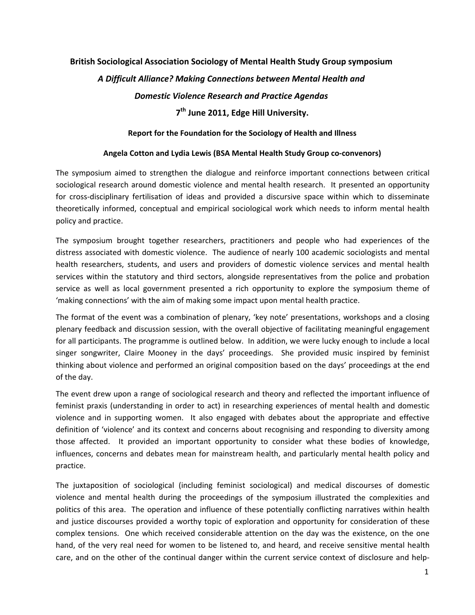# **British Sociological Association Sociology of Mental Health Study Group symposium**  *A Difficult Alliance? Making Connections between Mental Health and Domestic Violence Research and Practice Agendas*

# **7th June 2011, Edge Hill University.**

#### **Report for the Foundation for the Sociology of Health and Illness**

#### **Angela Cotton and Lydia Lewis (BSA Mental Health Study Group co‐convenors)**

The symposium aimed to strengthen the dialogue and reinforce important connections between critical sociological research around domestic violence and mental health research. It presented an opportunity for cross-disciplinary fertilisation of ideas and provided a discursive space within which to disseminate theoretically informed, conceptual and empirical sociological work which needs to inform mental health policy and practice.

The symposium brought together researchers, practitioners and people who had experiences of the distress associated with domestic violence. The audience of nearly 100 academic sociologists and mental health researchers, students, and users and providers of domestic violence services and mental health services within the statutory and third sectors, alongside representatives from the police and probation service as well as local government presented a rich opportunity to explore the symposium theme of 'making connections' with the aim of making some impact upon mental health practice.

The format of the event was a combination of plenary, 'key note' presentations, workshops and a closing plenary feedback and discussion session, with the overall objective of facilitating meaningful engagement for all participants. The programme is outlined below. In addition, we were lucky enough to include a local singer songwriter, Claire Mooney in the days' proceedings. She provided music inspired by feminist thinking about violence and performed an original composition based on the days' proceedings at the end of the day.

The event drew upon a range of sociological research and theory and reflected the important influence of feminist praxis (understanding in order to act) in researching experiences of mental health and domestic violence and in supporting women. It also engaged with debates about the appropriate and effective definition of 'violence' and its context and concerns about recognising and responding to diversity among those affected. It provided an important opportunity to consider what these bodies of knowledge, influences, concerns and debates mean for mainstream health, and particularly mental health policy and practice.

The juxtaposition of sociological (including feminist sociological) and medical discourses of domestic violence and mental health during the proceedings of the symposium illustrated the complexities and politics of this area. The operation and influence of these potentially conflicting narratives within health and justice discourses provided a worthy topic of exploration and opportunity for consideration of these complex tensions. One which received considerable attention on the day was the existence, on the one hand, of the very real need for women to be listened to, and heard, and receive sensitive mental health care, and on the other of the continual danger within the current service context of disclosure and help‐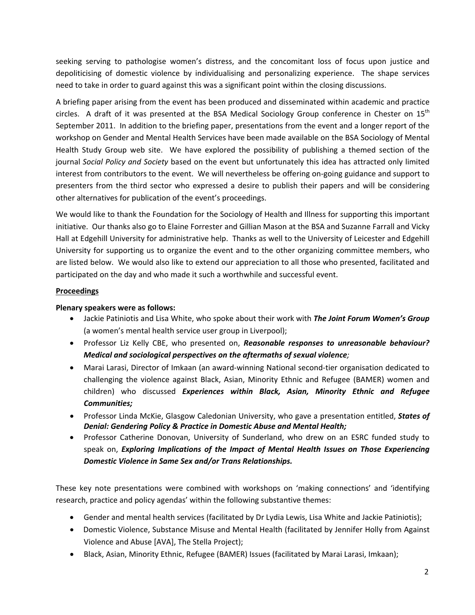seeking serving to pathologise women's distress, and the concomitant loss of focus upon justice and depoliticising of domestic violence by individualising and personalizing experience. The shape services need to take in order to guard against this was a significant point within the closing discussions.

A briefing paper arising from the event has been produced and disseminated within academic and practice circles. A draft of it was presented at the BSA Medical Sociology Group conference in Chester on  $15<sup>tn</sup>$ September 2011. In addition to the briefing paper, presentations from the event and a longer report of the workshop on Gender and Mental Health Services have been made available on the BSA Sociology of Mental Health Study Group web site. We have explored the possibility of publishing a themed section of the journal *Social Policy and Society* based on the event but unfortunately this idea has attracted only limited interest from contributors to the event. We will nevertheless be offering on‐going guidance and support to presenters from the third sector who expressed a desire to publish their papers and will be considering other alternatives for publication of the event's proceedings.

We would like to thank the Foundation for the Sociology of Health and Illness for supporting this important initiative. Our thanks also go to Elaine Forrester and Gillian Mason at the BSA and Suzanne Farrall and Vicky Hall at Edgehill University for administrative help. Thanks as well to the University of Leicester and Edgehill University for supporting us to organize the event and to the other organizing committee members, who are listed below. We would also like to extend our appreciation to all those who presented, facilitated and participated on the day and who made it such a worthwhile and successful event.

### **Proceedings**

#### **Plenary speakers were as follows:**

- Jackie Patiniotis and Lisa White, who spoke about their work with *The Joint Forum Women's Group* (a women's mental health service user group in Liverpool);
- Professor Liz Kelly CBE, who presented on, *Reasonable responses to unreasonable behaviour? Medical and sociological perspectives on the aftermaths of sexual violence;*
- Marai Larasi, Director of Imkaan (an award-winning National second-tier organisation dedicated to challenging the violence against Black, Asian, Minority Ethnic and Refugee (BAMER) women and children) who discussed *Experiences within Black, Asian, Minority Ethnic and Refugee Communities;*
- Professor Linda McKie, Glasgow Caledonian University, who gave a presentation entitled, *States of Denial: Gendering Policy & Practice in Domestic Abuse and Mental Health;*
- Professor Catherine Donovan, University of Sunderland, who drew on an ESRC funded study to speak on, *Exploring Implications of the Impact of Mental Health Issues on Those Experiencing Domestic Violence in Same Sex and/or Trans Relationships.*

These key note presentations were combined with workshops on 'making connections' and 'identifying research, practice and policy agendas' within the following substantive themes:

- Gender and mental health services (facilitated by Dr Lydia Lewis, Lisa White and Jackie Patiniotis);
- Domestic Violence, Substance Misuse and Mental Health (facilitated by Jennifer Holly from Against Violence and Abuse [AVA], The Stella Project);
- Black, Asian, Minority Ethnic, Refugee (BAMER) Issues (facilitated by Marai Larasi, Imkaan);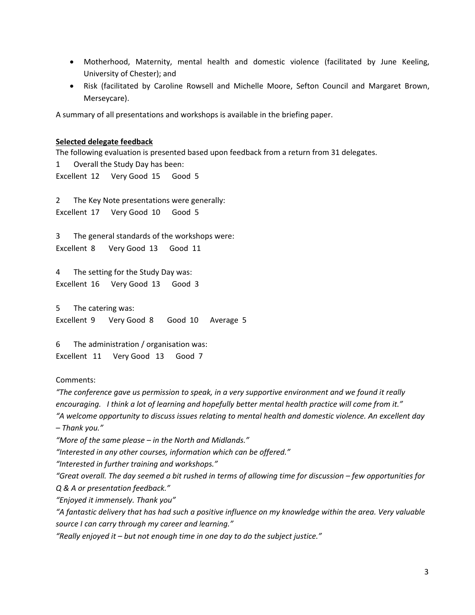- Motherhood, Maternity, mental health and domestic violence (facilitated by June Keeling, University of Chester); and
- Risk (facilitated by Caroline Rowsell and Michelle Moore, Sefton Council and Margaret Brown, Merseycare).

A summary of all presentations and workshops is available in the briefing paper.

#### **Selected delegate feedback**

The following evaluation is presented based upon feedback from a return from 31 delegates. 1 Overall the Study Day has been: Excellent 12 Very Good 15 Good 5 2 The Key Note presentations were generally: Excellent 17 Very Good 10 Good 5 3 The general standards of the workshops were: Excellent 8 Very Good 13 Good 11 4 The setting for the Study Day was: Excellent 16 Very Good 13 Good 3

5 The catering was: Excellent 9 Very Good 8 Good 10 Average 5

6 The administration / organisation was: Excellent 11 Very Good 13 Good 7

#### Comments:

*"The conference gave us permission to speak, in a very supportive environment and we found it really* encouraging. I think a lot of learning and hopefully better mental health practice will come from it." *"A welcome opportunity to discuss issues relating to mental health and domestic violence. An excellent day – Thank you."*

*"More of the same please – in the North and Midlands."*

*"Interested in any other courses, information which can be offered."*

*"Interested in further training and workshops."*

"Great overall. The day seemed a bit rushed in terms of allowing time for discussion – few opportunities for *Q & A or presentation feedback."*

*"Enjoyed it immensely. Thank you"*

"A fantastic delivery that has had such a positive influence on my knowledge within the area. Very valuable *source I can carry through my career and learning."*

*"Really enjoyed it – but not enough time in one day to do the subject justice."*